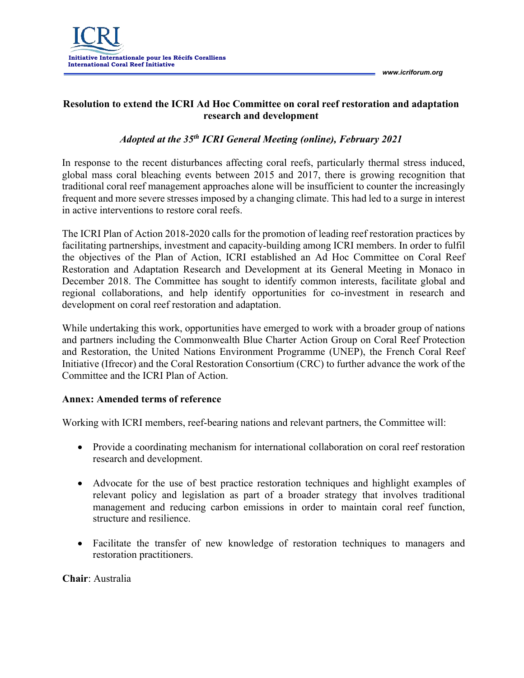

*www.icriforum.org* 

## **Resolution to extend the ICRI Ad Hoc Committee on coral reef restoration and adaptation research and development**

## *Adopted at the 35th ICRI General Meeting (online), February 2021*

In response to the recent disturbances affecting coral reefs, particularly thermal stress induced, global mass coral bleaching events between 2015 and 2017, there is growing recognition that traditional coral reef management approaches alone will be insufficient to counter the increasingly frequent and more severe stresses imposed by a changing climate. This had led to a surge in interest in active interventions to restore coral reefs.

The ICRI Plan of Action 2018-2020 calls for the promotion of leading reef restoration practices by facilitating partnerships, investment and capacity-building among ICRI members. In order to fulfil the objectives of the Plan of Action, ICRI established an Ad Hoc Committee on Coral Reef Restoration and Adaptation Research and Development at its General Meeting in Monaco in December 2018. The Committee has sought to identify common interests, facilitate global and regional collaborations, and help identify opportunities for co-investment in research and development on coral reef restoration and adaptation.

While undertaking this work, opportunities have emerged to work with a broader group of nations and partners including the Commonwealth Blue Charter Action Group on Coral Reef Protection and Restoration, the United Nations Environment Programme (UNEP), the French Coral Reef Initiative (Ifrecor) and the Coral Restoration Consortium (CRC) to further advance the work of the Committee and the ICRI Plan of Action.

## **Annex: Amended terms of reference**

Working with ICRI members, reef-bearing nations and relevant partners, the Committee will:

- Provide a coordinating mechanism for international collaboration on coral reef restoration research and development.
- Advocate for the use of best practice restoration techniques and highlight examples of relevant policy and legislation as part of a broader strategy that involves traditional management and reducing carbon emissions in order to maintain coral reef function, structure and resilience.
- Facilitate the transfer of new knowledge of restoration techniques to managers and restoration practitioners.

**Chair**: Australia